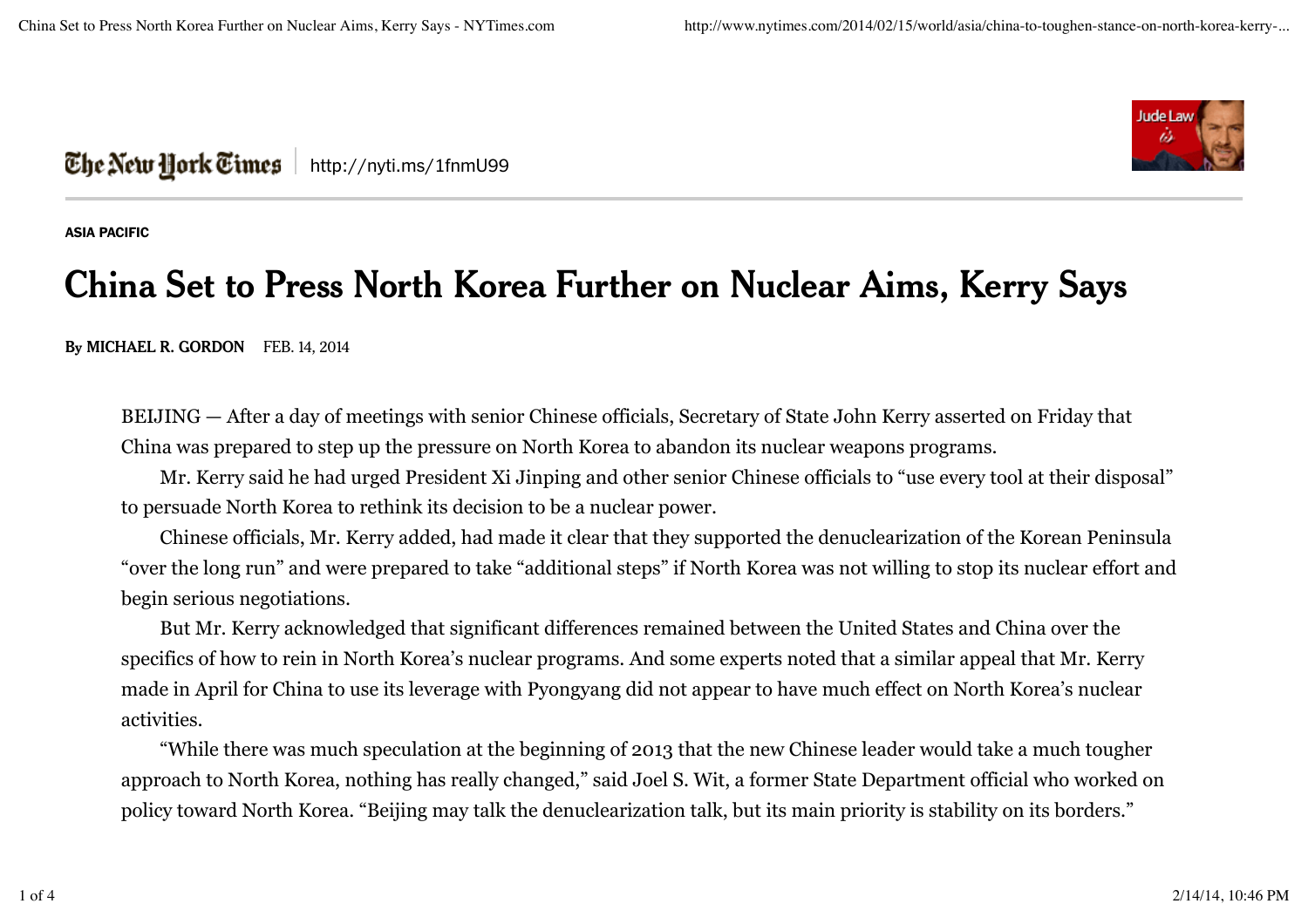

## **The New Hork Times** | http://nyti.ms/1fnmU99

**ASIA PACIFIC**

## **China Set to Press North Korea Further on Nuclear Aims, Kerry Says**

**By MICHAEL R. GORDON** FEB. 14, 2014

BEIJING — After a day of meetings with senior Chinese officials, Secretary of State John Kerry asserted on Friday that China was prepared to step up the pressure on North Korea to abandon its nuclear weapons programs.

Mr. Kerry said he had urged President Xi Jinping and other senior Chinese officials to "use every tool at their disposal" to persuade North Korea to rethink its decision to be a nuclear power.

Chinese officials, Mr. Kerry added, had made it clear that they supported the denuclearization of the Korean Peninsula "over the long run" and were prepared to take "additional steps" if North Korea was not willing to stop its nuclear effort and begin serious negotiations.

But Mr. Kerry acknowledged that significant differences remained between the United States and China over the specifics of how to rein in North Korea's nuclear programs. And some experts noted that a similar appeal that Mr. Kerry made in April for China to use its leverage with Pyongyang did not appear to have much effect on North Korea's nuclear activities.

"While there was much speculation at the beginning of 2013 that the new Chinese leader would take a much tougher approach to North Korea, nothing has really changed," said Joel S. Wit, a former State Department official who worked on policy toward North Korea. "Beijing may talk the denuclearization talk, but its main priority is stability on its borders."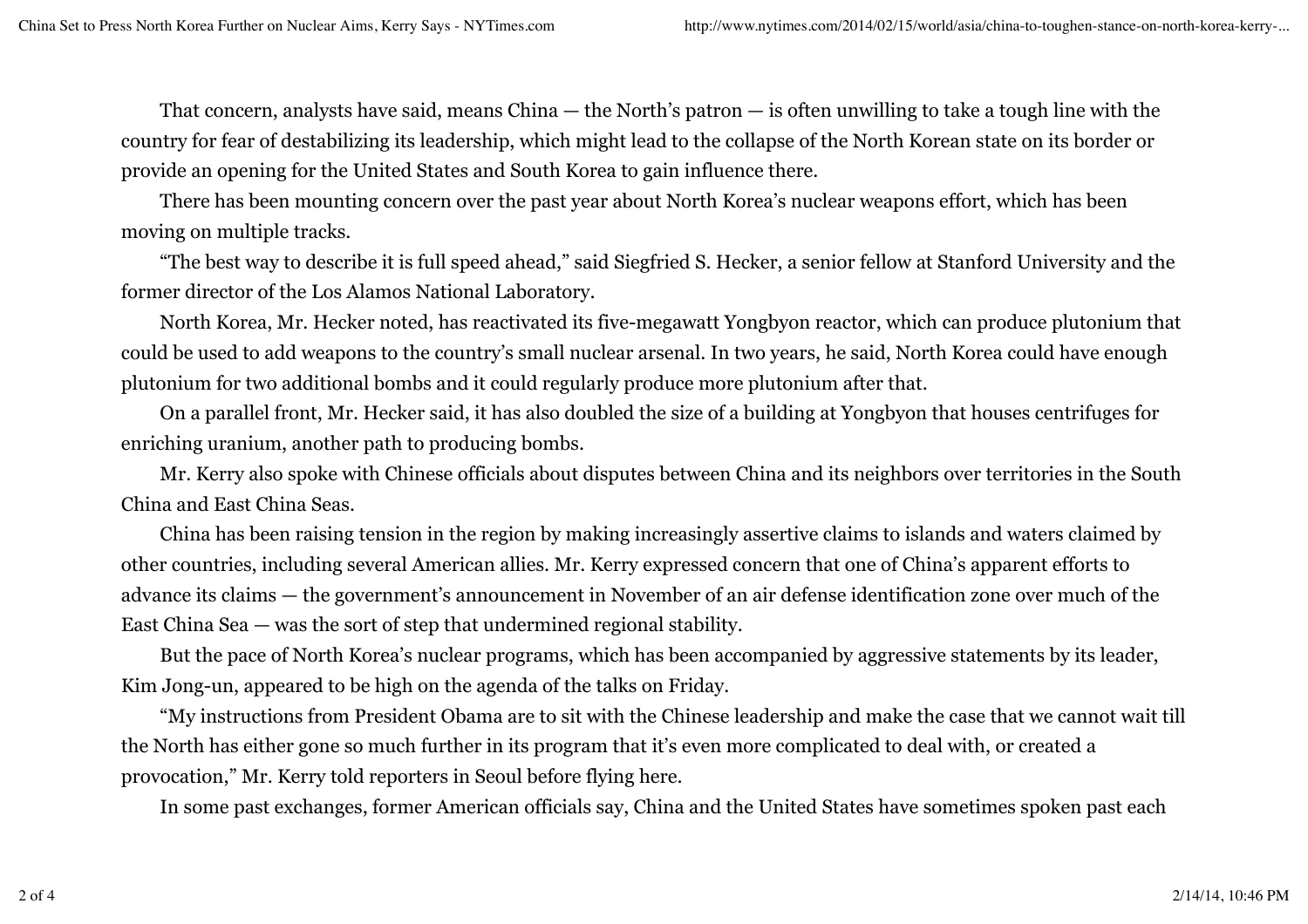That concern, analysts have said, means China — the North's patron — is often unwilling to take a tough line with the country for fear of destabilizing its leadership, which might lead to the collapse of the North Korean state on its border or provide an opening for the United States and South Korea to gain influence there.

There has been mounting concern over the past year about North Korea's nuclear weapons effort, which has been moving on multiple tracks.

"The best way to describe it is full speed ahead," said Siegfried S. Hecker, a senior fellow at Stanford University and the former director of the Los Alamos National Laboratory.

North Korea, Mr. Hecker noted, has reactivated its five-megawatt Yongbyon reactor, which can produce plutonium that could be used to add weapons to the country's small nuclear arsenal. In two years, he said, North Korea could have enough plutonium for two additional bombs and it could regularly produce more plutonium after that.

On a parallel front, Mr. Hecker said, it has also doubled the size of a building at Yongbyon that houses centrifuges for enriching uranium, another path to producing bombs.

Mr. Kerry also spoke with Chinese officials about disputes between China and its neighbors over territories in the South China and East China Seas.

China has been raising tension in the region by making increasingly assertive claims to islands and waters claimed by other countries, including several American allies. Mr. Kerry expressed concern that one of China's apparent efforts to advance its claims — the government's announcement in November of an air defense identification zone over much of the East China Sea — was the sort of step that undermined regional stability.

But the pace of North Korea's nuclear programs, which has been accompanied by aggressive statements by its leader, Kim Jong-un, appeared to be high on the agenda of the talks on Friday.

"My instructions from President Obama are to sit with the Chinese leadership and make the case that we cannot wait till the North has either gone so much further in its program that it's even more complicated to deal with, or created a provocation," Mr. Kerry told reporters in Seoul before flying here.

In some past exchanges, former American officials say, China and the United States have sometimes spoken past each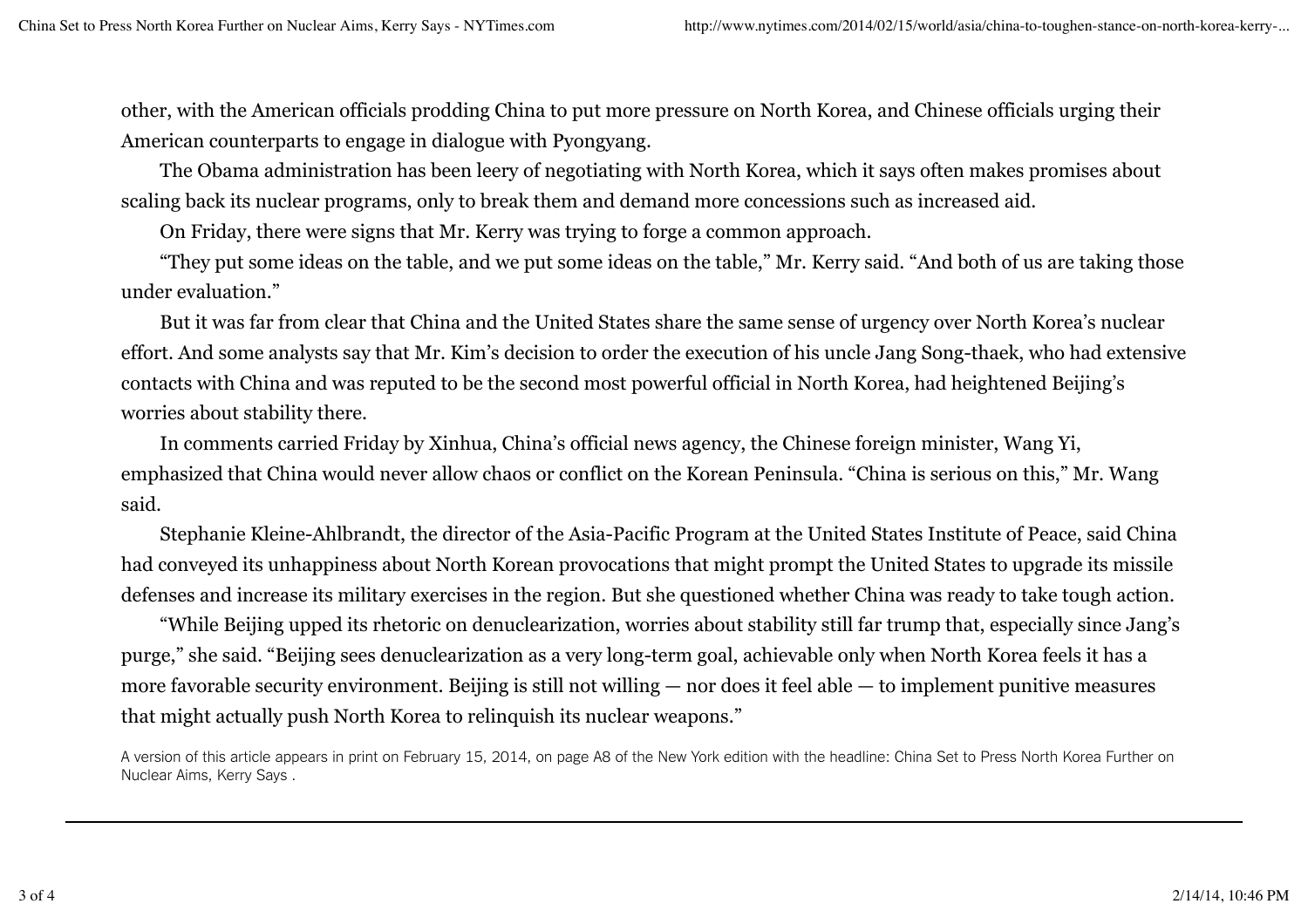other, with the American officials prodding China to put more pressure on North Korea, and Chinese officials urging their American counterparts to engage in dialogue with Pyongyang.

The Obama administration has been leery of negotiating with North Korea, which it says often makes promises about scaling back its nuclear programs, only to break them and demand more concessions such as increased aid.

On Friday, there were signs that Mr. Kerry was trying to forge a common approach.

"They put some ideas on the table, and we put some ideas on the table," Mr. Kerry said. "And both of us are taking those under evaluation."

But it was far from clear that China and the United States share the same sense of urgency over North Korea's nuclear effort. And some analysts say that Mr. Kim's decision to order the execution of his uncle Jang Song-thaek, who had extensive contacts with China and was reputed to be the second most powerful official in North Korea, had heightened Beijing's worries about stability there.

In comments carried Friday by Xinhua, China's official news agency, the Chinese foreign minister, Wang Yi, emphasized that China would never allow chaos or conflict on the Korean Peninsula. "China is serious on this," Mr. Wang said.

Stephanie Kleine-Ahlbrandt, the director of the Asia-Pacific Program at the United States Institute of Peace, said China had conveyed its unhappiness about North Korean provocations that might prompt the United States to upgrade its missile defenses and increase its military exercises in the region. But she questioned whether China was ready to take tough action.

"While Beijing upped its rhetoric on denuclearization, worries about stability still far trump that, especially since Jang's purge," she said. "Beijing sees denuclearization as a very long-term goal, achievable only when North Korea feels it has a more favorable security environment. Beijing is still not willing — nor does it feel able — to implement punitive measures that might actually push North Korea to relinquish its nuclear weapons."

A version of this article appears in print on February 15, 2014, on page A8 of the New York edition with the headline: China Set to Press North Korea Further on Nuclear Aims, Kerry Says .